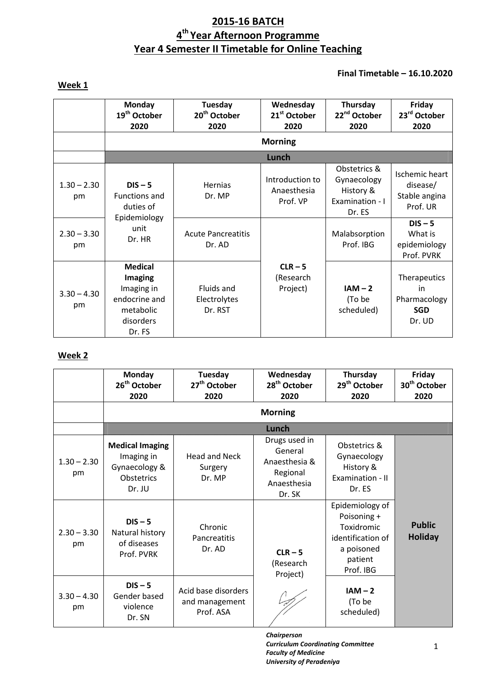# **2015-16 BATCH 4 th Year Afternoon Programme Year 4 Semester II Timetable for Online Teaching**

# **Week 1**

## **Final Timetable – 16.10.2020**

|                     | <b>Monday</b><br>19 <sup>th</sup> October<br>2020                                            | Tuesday<br>20 <sup>th</sup> October<br>2020 | Wednesday<br>21 <sup>st</sup> October<br>2020 | Thursday<br>22 <sup>nd</sup> October<br>2020                          | Friday<br>23rd October<br>2020                                 |
|---------------------|----------------------------------------------------------------------------------------------|---------------------------------------------|-----------------------------------------------|-----------------------------------------------------------------------|----------------------------------------------------------------|
|                     |                                                                                              |                                             | <b>Morning</b>                                |                                                                       |                                                                |
|                     |                                                                                              |                                             | mman                                          |                                                                       |                                                                |
| $1.30 - 2.30$<br>pm | $DIS - 5$<br>Functions and<br>duties of<br>Epidemiology<br>unit<br>Dr. HR                    | Hernias<br>Dr. MP                           | Introduction to<br>Anaesthesia<br>Prof. VP    | Obstetrics &<br>Gynaecology<br>History &<br>Examination - I<br>Dr. ES | <b>Ischemic heart</b><br>disease/<br>Stable angina<br>Prof. UR |
| $2.30 - 3.30$<br>pm |                                                                                              | <b>Acute Pancreatitis</b><br>Dr. AD         |                                               | Malabsorption<br>Prof. IBG                                            | $DIS - 5$<br>What is<br>epidemiology<br>Prof. PVRK             |
| $3.30 - 4.30$<br>pm | <b>Medical</b><br>Imaging<br>Imaging in<br>endocrine and<br>metabolic<br>disorders<br>Dr. FS | Fluids and<br>Electrolytes<br>Dr. RST       | $CLR - 5$<br>(Research<br>Project)            | $IAM - 2$<br>(To be<br>scheduled)                                     | Therapeutics<br>in<br>Pharmacology<br><b>SGD</b><br>Dr. UD     |

## **Week 2**

|                     | Monday<br>26 <sup>th</sup> October<br>2020                                           | Tuesday<br>27 <sup>th</sup> October<br>2020        | Wednesday<br>28 <sup>th</sup> October<br>2020                                  | Thursday<br>29 <sup>th</sup> October<br>2020                                                            | Friday<br>30 <sup>th</sup> October<br>2020 |
|---------------------|--------------------------------------------------------------------------------------|----------------------------------------------------|--------------------------------------------------------------------------------|---------------------------------------------------------------------------------------------------------|--------------------------------------------|
|                     |                                                                                      |                                                    | <b>Morning</b>                                                                 |                                                                                                         |                                            |
|                     |                                                                                      |                                                    | Wildia                                                                         |                                                                                                         |                                            |
| $1.30 - 2.30$<br>pm | <b>Medical Imaging</b><br>Imaging in<br>Gynaecology &<br><b>Obstetrics</b><br>Dr. JU | <b>Head and Neck</b><br>Surgery<br>Dr. MP          | Drugs used in<br>General<br>Anaesthesia &<br>Regional<br>Anaesthesia<br>Dr. SK | Obstetrics &<br>Gynaecology<br>History &<br>Examination - II<br>Dr. ES                                  |                                            |
| $2.30 - 3.30$<br>pm | $DIS - 5$<br>Natural history<br>of diseases<br>Prof. PVRK                            | Chronic<br>Pancreatitis<br>Dr. AD                  | $CLR - 5$<br>(Research<br>Project)                                             | Epidemiology of<br>Poisoning +<br>Toxidromic<br>identification of<br>a poisoned<br>patient<br>Prof. IBG | <b>Public</b><br><b>Holiday</b>            |
| $3.30 - 4.30$<br>pm | $DIS - 5$<br>Gender based<br>violence<br>Dr. SN                                      | Acid base disorders<br>and management<br>Prof. ASA |                                                                                | $IAM - 2$<br>(To be<br>scheduled)                                                                       |                                            |

*Chairperson Curriculum Coordinating Committee Faculty of Medicine University of Peradeniya*